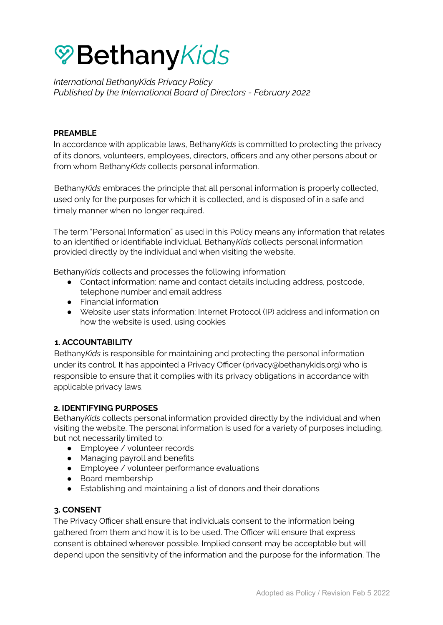# **<sup></sup> Bethany Kids**

*International BethanyKids Privacy Policy Published by the International Board of Directors - February 2022*

#### **PREAMBLE**

In accordance with applicable laws, Bethany*Kids* is committed to protecting the privacy of its donors, volunteers, employees, directors, officers and any other persons about or from whom Bethany*Kids* collects personal information.

Bethany*Kids* embraces the principle that all personal information is properly collected, used only for the purposes for which it is collected, and is disposed of in a safe and timely manner when no longer required.

The term "Personal Information" as used in this Policy means any information that relates to an identified or identifiable individual. Bethany*Kids* collects personal information provided directly by the individual and when visiting the website.

Bethany*Kids* collects and processes the following information:

- Contact information: name and contact details including address, postcode, telephone number and email address
- Financial information
- Website user stats information: Internet Protocol (IP) address and information on how the website is used, using cookies

## **1. ACCOUNTABILITY**

Bethany*Kids* is responsible for maintaining and protecting the personal information under its control. It has appointed a Privacy Officer (privacy@bethanykids.org) who is responsible to ensure that it complies with its privacy obligations in accordance with applicable privacy laws.

#### **2. IDENTIFYING PURPOSES**

Bethany*Kids* collects personal information provided directly by the individual and when visiting the website. The personal information is used for a variety of purposes including, but not necessarily limited to:

- Employee / volunteer records
- Managing payroll and benefits
- Employee / volunteer performance evaluations
- Board membership
- Establishing and maintaining a list of donors and their donations

## **3. CONSENT**

The Privacy Officer shall ensure that individuals consent to the information being gathered from them and how it is to be used. The Officer will ensure that express consent is obtained wherever possible. Implied consent may be acceptable but will depend upon the sensitivity of the information and the purpose for the information. The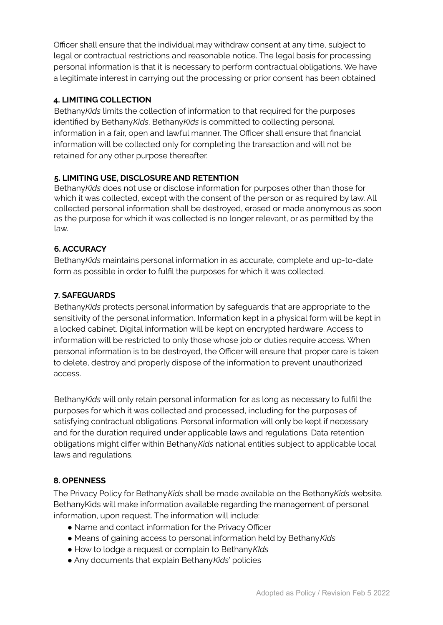Officer shall ensure that the individual may withdraw consent at any time, subject to legal or contractual restrictions and reasonable notice. The legal basis for processing personal information is that it is necessary to perform contractual obligations. We have a legitimate interest in carrying out the processing or prior consent has been obtained.

# **4. LIMITING COLLECTION**

Bethany*Kids* limits the collection of information to that required for the purposes identified by Bethany*Kids*. Bethany*Kids* is committed to collecting personal information in a fair, open and lawful manner. The Officer shall ensure that financial information will be collected only for completing the transaction and will not be retained for any other purpose thereafter.

## **5. LIMITING USE, DISCLOSURE AND RETENTION**

Bethany*Kids* does not use or disclose information for purposes other than those for which it was collected, except with the consent of the person or as required by law. All collected personal information shall be destroyed, erased or made anonymous as soon as the purpose for which it was collected is no longer relevant, or as permitted by the law.

## **6. ACCURACY**

Bethany*Kids* maintains personal information in as accurate, complete and up-to-date form as possible in order to fulfil the purposes for which it was collected.

## **7. SAFEGUARDS**

Bethany*Kids* protects personal information by safeguards that are appropriate to the sensitivity of the personal information. Information kept in a physical form will be kept in a locked cabinet. Digital information will be kept on encrypted hardware. Access to information will be restricted to only those whose job or duties require access. When personal information is to be destroyed, the Officer will ensure that proper care is taken to delete, destroy and properly dispose of the information to prevent unauthorized access.

Bethany*Kids* will only retain personal information for as long as necessary to fulfil the purposes for which it was collected and processed, including for the purposes of satisfying contractual obligations. Personal information will only be kept if necessary and for the duration required under applicable laws and regulations. Data retention obligations might differ within Bethany*Kids* national entities subject to applicable local laws and regulations.

## **8. OPENNESS**

The Privacy Policy for Bethany*Kids* shall be made available on the Bethany*Kids* website. BethanyKids will make information available regarding the management of personal information, upon request. The information will include:

- Name and contact information for the Privacy Officer
- Means of gaining access to personal information held by Bethany*Kids*
- How to lodge a request or complain to Bethany*KIds*
- Any documents that explain Bethany*Kids*' policies